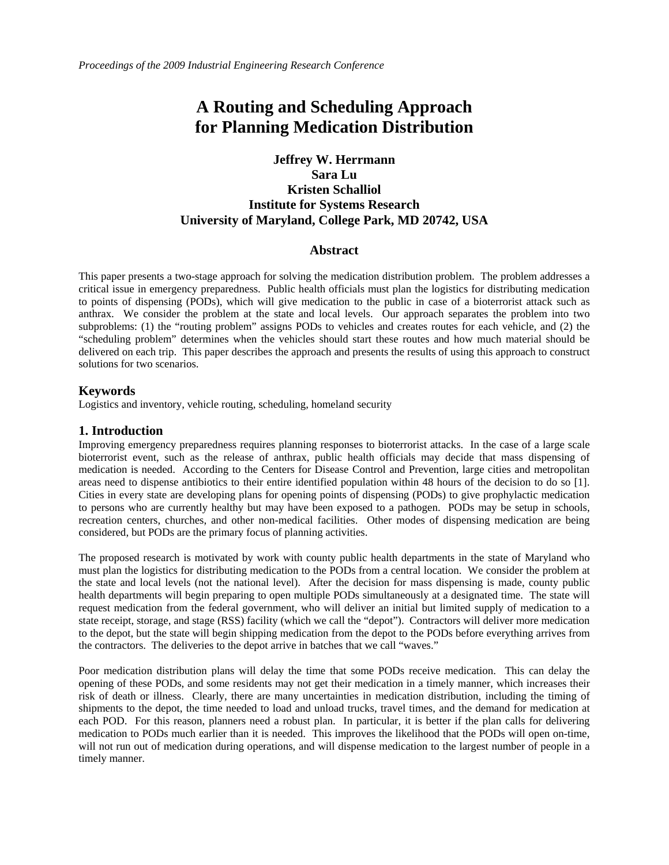# **A Routing and Scheduling Approach for Planning Medication Distribution**

# **Jeffrey W. Herrmann Sara Lu Kristen Schalliol Institute for Systems Research University of Maryland, College Park, MD 20742, USA**

#### **Abstract**

This paper presents a two-stage approach for solving the medication distribution problem. The problem addresses a critical issue in emergency preparedness. Public health officials must plan the logistics for distributing medication to points of dispensing (PODs), which will give medication to the public in case of a bioterrorist attack such as anthrax. We consider the problem at the state and local levels. Our approach separates the problem into two subproblems: (1) the "routing problem" assigns PODs to vehicles and creates routes for each vehicle, and (2) the "scheduling problem" determines when the vehicles should start these routes and how much material should be delivered on each trip. This paper describes the approach and presents the results of using this approach to construct solutions for two scenarios.

#### **Keywords**

Logistics and inventory, vehicle routing, scheduling, homeland security

#### **1. Introduction**

Improving emergency preparedness requires planning responses to bioterrorist attacks. In the case of a large scale bioterrorist event, such as the release of anthrax, public health officials may decide that mass dispensing of medication is needed. According to the Centers for Disease Control and Prevention, large cities and metropolitan areas need to dispense antibiotics to their entire identified population within 48 hours of the decision to do so [1]. Cities in every state are developing plans for opening points of dispensing (PODs) to give prophylactic medication to persons who are currently healthy but may have been exposed to a pathogen. PODs may be setup in schools, recreation centers, churches, and other non-medical facilities. Other modes of dispensing medication are being considered, but PODs are the primary focus of planning activities.

The proposed research is motivated by work with county public health departments in the state of Maryland who must plan the logistics for distributing medication to the PODs from a central location. We consider the problem at the state and local levels (not the national level). After the decision for mass dispensing is made, county public health departments will begin preparing to open multiple PODs simultaneously at a designated time. The state will request medication from the federal government, who will deliver an initial but limited supply of medication to a state receipt, storage, and stage (RSS) facility (which we call the "depot"). Contractors will deliver more medication to the depot, but the state will begin shipping medication from the depot to the PODs before everything arrives from the contractors. The deliveries to the depot arrive in batches that we call "waves."

Poor medication distribution plans will delay the time that some PODs receive medication. This can delay the opening of these PODs, and some residents may not get their medication in a timely manner, which increases their risk of death or illness. Clearly, there are many uncertainties in medication distribution, including the timing of shipments to the depot, the time needed to load and unload trucks, travel times, and the demand for medication at each POD. For this reason, planners need a robust plan. In particular, it is better if the plan calls for delivering medication to PODs much earlier than it is needed. This improves the likelihood that the PODs will open on-time, will not run out of medication during operations, and will dispense medication to the largest number of people in a timely manner.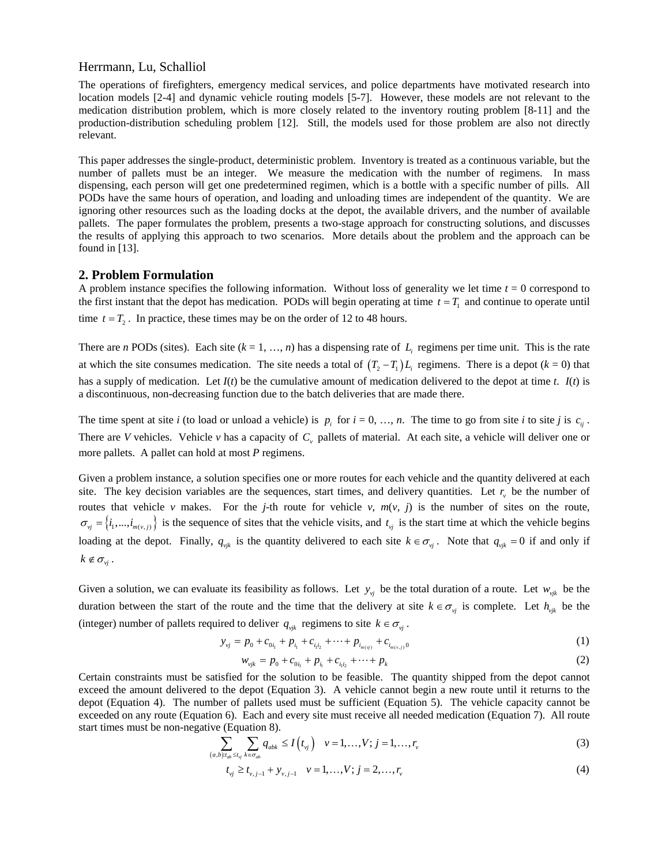The operations of firefighters, emergency medical services, and police departments have motivated research into location models [2-4] and dynamic vehicle routing models [5-7]. However, these models are not relevant to the medication distribution problem, which is more closely related to the inventory routing problem [8-11] and the production-distribution scheduling problem [12]. Still, the models used for those problem are also not directly relevant.

This paper addresses the single-product, deterministic problem. Inventory is treated as a continuous variable, but the number of pallets must be an integer. We measure the medication with the number of regimens. In mass dispensing, each person will get one predetermined regimen, which is a bottle with a specific number of pills. All PODs have the same hours of operation, and loading and unloading times are independent of the quantity. We are ignoring other resources such as the loading docks at the depot, the available drivers, and the number of available pallets. The paper formulates the problem, presents a two-stage approach for constructing solutions, and discusses the results of applying this approach to two scenarios. More details about the problem and the approach can be found in [13].

#### **2. Problem Formulation**

A problem instance specifies the following information. Without loss of generality we let time *t* = 0 correspond to the first instant that the depot has medication. PODs will begin operating at time  $t = T<sub>i</sub>$  and continue to operate until time  $t = T_2$ . In practice, these times may be on the order of 12 to 48 hours.

There are *n* PODs (sites). Each site  $(k = 1, ..., n)$  has a dispensing rate of  $L_i$  regimens per time unit. This is the rate at which the site consumes medication. The site needs a total of  $(T, -T) L$  regimens. There is a depot  $(k = 0)$  that has a supply of medication. Let  $I(t)$  be the cumulative amount of medication delivered to the depot at time *t*.  $I(t)$  is a discontinuous, non-decreasing function due to the batch deliveries that are made there.

The time spent at site *i* (to load or unload a vehicle) is  $p_i$  for  $i = 0, ..., n$ . The time to go from site *i* to site *j* is  $c_i$ . There are *V* vehicles. Vehicle *v* has a capacity of  $C_v$  pallets of material. At each site, a vehicle will deliver one or more pallets. A pallet can hold at most *P* regimens.

Given a problem instance, a solution specifies one or more routes for each vehicle and the quantity delivered at each site. The key decision variables are the sequences, start times, and delivery quantities. Let  $r_v$  be the number of routes that vehicle *v* makes. For the *j*-th route for vehicle *v*,  $m(v, j)$  is the number of sites on the route,  ${\bf \sigma}_{\rm y} = {\bf i}_1,...,{\bf i}_{m(v,j)}$  is the sequence of sites that the vehicle visits, and  $t_{\rm y}$  is the start time at which the vehicle begins loading at the depot. Finally,  $q_{ijk}$  is the quantity delivered to each site  $k \in \sigma_{ij}$ . Note that  $q_{ijk} = 0$  if and only if  $k \notin \sigma_{vi}$ .

Given a solution, we can evaluate its feasibility as follows. Let  $y_{yi}$  be the total duration of a route. Let  $w_{yik}$  be the duration between the start of the route and the time that the delivery at site  $k \in \sigma_{y}$  is complete. Let  $h_{yjk}$  be the (integer) number of pallets required to deliver  $q_{ijk}$  regimens to site  $k \in \sigma_{ij}$ .

$$
y_{vj} = p_0 + c_{0i_1} + p_{i_1} + c_{i_1i_2} + \dots + p_{i_{m(vj)}} + c_{i_{m(v,j)}0}
$$
\n(1)

$$
w_{ijk} = p_0 + c_{0i_1} + p_{i_1} + c_{i_1i_2} + \dots + p_k
$$
 (2)

Certain constraints must be satisfied for the solution to be feasible. The quantity shipped from the depot cannot exceed the amount delivered to the depot (Equation 3). A vehicle cannot begin a new route until it returns to the depot (Equation 4). The number of pallets used must be sufficient (Equation 5). The vehicle capacity cannot be exceeded on any route (Equation 6). Each and every site must receive all needed medication (Equation 7). All route start times must be non-negative (Equation 8).

$$
\sum_{(a,b):t_{ab}\leq t_{vj}} \sum_{k\in \sigma_{ab}} q_{abk} \leq I(t_{vj}) \quad v = 1,\dots, V; j = 1,\dots, r_v
$$
 (3)

$$
t_{\nu j} \ge t_{\nu, j-1} + y_{\nu, j-1} \quad \nu = 1, \dots, V; j = 2, \dots, r_{\nu}
$$
\n<sup>(4)</sup>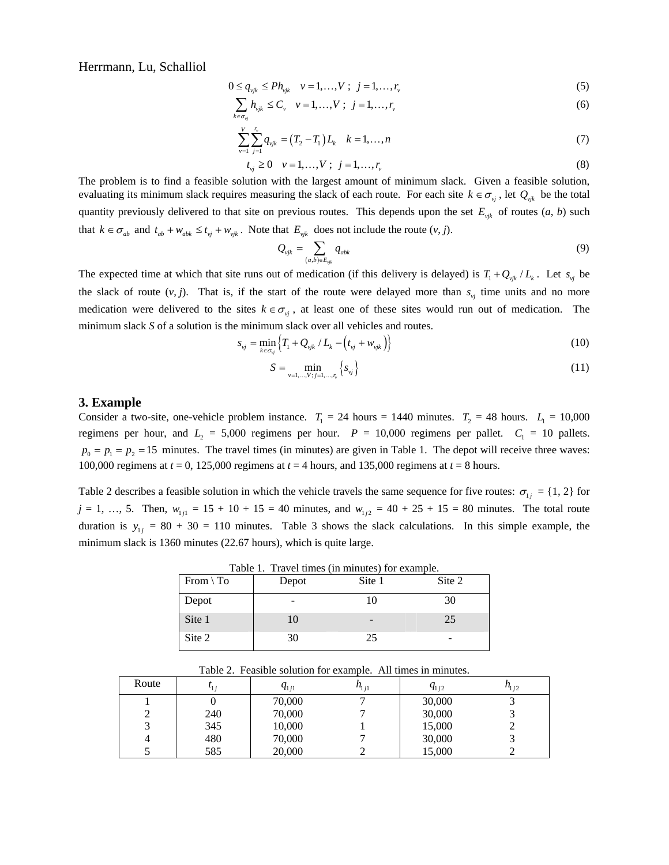$$
0 \le q_{vjk} \le Ph_{vjk} \quad v = 1, \dots, V \; ; \; j = 1, \dots, r_v \tag{5}
$$

$$
\sum_{k \in \sigma_{ij}} h_{ijk} \leq C_{\nu} \quad \nu = 1, \dots, V \; ; \; j = 1, \dots, r_{\nu} \tag{6}
$$

$$
\sum_{\nu=1}^{V} \sum_{j=1}^{r_{\nu}} q_{\nu j k} = (T_2 - T_1) L_k \quad k = 1, ..., n
$$
\n(7)

$$
t_{\nu j} \ge 0 \quad \nu = 1, \dots, V \; ; \; j = 1, \dots, r_{\nu} \tag{8}
$$

The problem is to find a feasible solution with the largest amount of minimum slack. Given a feasible solution, evaluating its minimum slack requires measuring the slack of each route. For each site  $k \in \sigma_{vi}$ , let  $Q_{vik}$  be the total quantity previously delivered to that site on previous routes. This depends upon the set  $E_{vik}$  of routes  $(a, b)$  such that  $k \in \sigma_{ab}$  and  $t_{ab} + w_{abk} \leq t_{vj} + w_{vjk}$ . Note that  $E_{vjk}$  does not include the route  $(v, j)$ .

$$
Q_{vjk} = \sum_{(a,b)\in E_{vjk}} q_{abk} \tag{9}
$$

The expected time at which that site runs out of medication (if this delivery is delayed) is  $T_1 + Q_{ijk} / L_k$ . Let  $s_{ij}$  be the slack of route  $(v, j)$ . That is, if the start of the route were delayed more than  $s_{vi}$  time units and no more medication were delivered to the sites  $k \in \sigma_{vi}$ , at least one of these sites would run out of medication. The minimum slack *S* of a solution is the minimum slack over all vehicles and routes.

$$
s_{\nu j} = \min_{k \in \sigma_{\nu j}} \left\{ T_1 + Q_{\nu jk} / L_k - \left( t_{\nu j} + w_{\nu jk} \right) \right\} \tag{10}
$$

$$
S = \min_{\mathbf{v} = 1,\dots,V;\,j=1,\dots,r_{\mathbf{v}}} \left\{ s_{\mathbf{v}j} \right\} \tag{11}
$$

#### **3. Example**

Consider a two-site, one-vehicle problem instance.  $T_1 = 24$  hours = 1440 minutes.  $T_2 = 48$  hours.  $L_1 = 10,000$ regimens per hour, and  $L_2 = 5,000$  regimens per hour.  $P = 10,000$  regimens per pallet.  $C_1 = 10$  pallets.  $p_0 = p_1 = p_2 = 15$  minutes. The travel times (in minutes) are given in Table 1. The depot will receive three waves: 100,000 regimens at *t* = 0, 125,000 regimens at *t* = 4 hours, and 135,000 regimens at *t* = 8 hours.

Table 2 describes a feasible solution in which the vehicle travels the same sequence for five routes:  $\sigma_{1j} = \{1, 2\}$  for  $j = 1, ..., 5$ . Then,  $w_{1j1} = 15 + 10 + 15 = 40$  minutes, and  $w_{1j2} = 40 + 25 + 15 = 80$  minutes. The total route duration is  $y_{1i} = 80 + 30 = 110$  minutes. Table 3 shows the slack calculations. In this simple example, the minimum slack is 1360 minutes (22.67 hours), which is quite large.

Table 1. Travel times (in minutes) for example.

| From $\Gamma$ o | Depot                    | Site 1                   | Site 2 |
|-----------------|--------------------------|--------------------------|--------|
| Depot           | $\overline{\phantom{a}}$ | 10                       | 30     |
| Site 1          | 10                       | $\overline{\phantom{a}}$ | 25     |
| Site 2          | 30                       | 25                       |        |

| Route |     | $q_{1j1}$ | $n_{1i1}$ | $q_{1i2}$ | $n_{1i2}$ |
|-------|-----|-----------|-----------|-----------|-----------|
|       |     | 70,000    |           | 30,000    |           |
| ∸     | 240 | 70,000    |           | 30,000    |           |
|       | 345 | 10,000    |           | 15,000    |           |
| 4     | 480 | 70,000    |           | 30,000    |           |
|       | 585 | 20,000    |           | 15,000    |           |

Table 2. Feasible solution for example. All times in minutes.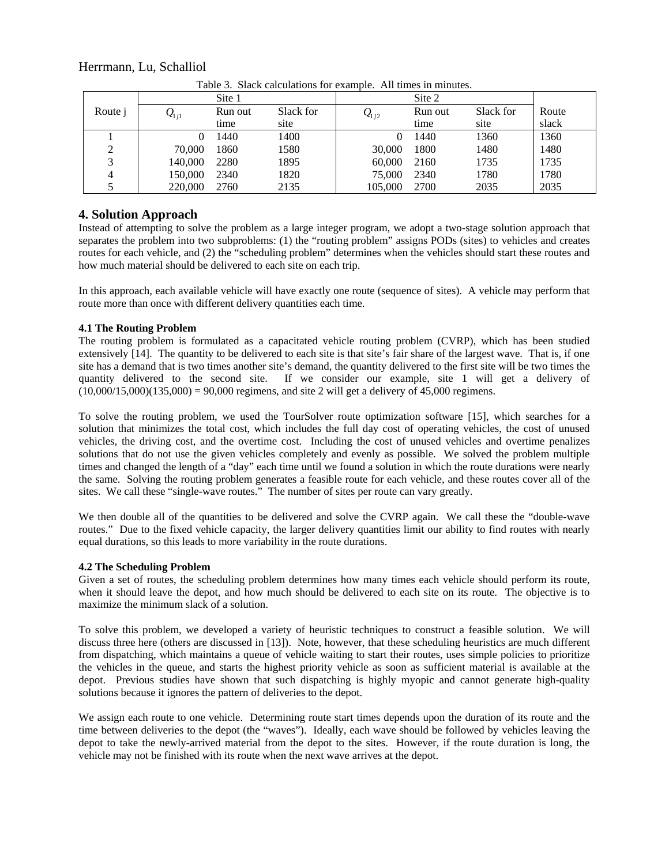|         |                     | Site 1  |           |           | Site 2  |           |       |
|---------|---------------------|---------|-----------|-----------|---------|-----------|-------|
| Route j | $\mathcal{Q}_{1j1}$ | Run out | Slack for | $Q_{1j2}$ | Run out | Slack for | Route |
|         |                     | time    | site      |           | time    | site      | slack |
|         |                     | 1440    | 1400      |           | 1440    | 1360      | 1360  |
|         | 70,000              | 1860    | 1580      | 30,000    | 1800    | 1480      | 1480  |
| 3       | 140,000             | 2280    | 1895      | 60,000    | 2160    | 1735      | 1735  |
|         | 150,000             | 2340    | 1820      | 75,000    | 2340    | 1780      | 1780  |
|         | 220,000             | 2760    | 2135      | 105,000   | 2700    | 2035      | 2035  |

Table 3. Slack calculations for example. All times in minutes.

# **4. Solution Approach**

Instead of attempting to solve the problem as a large integer program, we adopt a two-stage solution approach that separates the problem into two subproblems: (1) the "routing problem" assigns PODs (sites) to vehicles and creates routes for each vehicle, and (2) the "scheduling problem" determines when the vehicles should start these routes and how much material should be delivered to each site on each trip.

In this approach, each available vehicle will have exactly one route (sequence of sites). A vehicle may perform that route more than once with different delivery quantities each time.

#### **4.1 The Routing Problem**

The routing problem is formulated as a capacitated vehicle routing problem (CVRP), which has been studied extensively [14]. The quantity to be delivered to each site is that site's fair share of the largest wave. That is, if one site has a demand that is two times another site's demand, the quantity delivered to the first site will be two times the quantity delivered to the second site. If we consider our example, site 1 will get a delivery of  $(10,000/15,000)(135,000) = 90,000$  regimens, and site 2 will get a delivery of 45,000 regimens.

To solve the routing problem, we used the TourSolver route optimization software [15], which searches for a solution that minimizes the total cost, which includes the full day cost of operating vehicles, the cost of unused vehicles, the driving cost, and the overtime cost. Including the cost of unused vehicles and overtime penalizes solutions that do not use the given vehicles completely and evenly as possible. We solved the problem multiple times and changed the length of a "day" each time until we found a solution in which the route durations were nearly the same. Solving the routing problem generates a feasible route for each vehicle, and these routes cover all of the sites. We call these "single-wave routes." The number of sites per route can vary greatly.

We then double all of the quantities to be delivered and solve the CVRP again. We call these the "double-wave" routes." Due to the fixed vehicle capacity, the larger delivery quantities limit our ability to find routes with nearly equal durations, so this leads to more variability in the route durations.

#### **4.2 The Scheduling Problem**

Given a set of routes, the scheduling problem determines how many times each vehicle should perform its route, when it should leave the depot, and how much should be delivered to each site on its route. The objective is to maximize the minimum slack of a solution.

To solve this problem, we developed a variety of heuristic techniques to construct a feasible solution. We will discuss three here (others are discussed in [13]). Note, however, that these scheduling heuristics are much different from dispatching, which maintains a queue of vehicle waiting to start their routes, uses simple policies to prioritize the vehicles in the queue, and starts the highest priority vehicle as soon as sufficient material is available at the depot. Previous studies have shown that such dispatching is highly myopic and cannot generate high-quality solutions because it ignores the pattern of deliveries to the depot.

We assign each route to one vehicle. Determining route start times depends upon the duration of its route and the time between deliveries to the depot (the "waves"). Ideally, each wave should be followed by vehicles leaving the depot to take the newly-arrived material from the depot to the sites. However, if the route duration is long, the vehicle may not be finished with its route when the next wave arrives at the depot.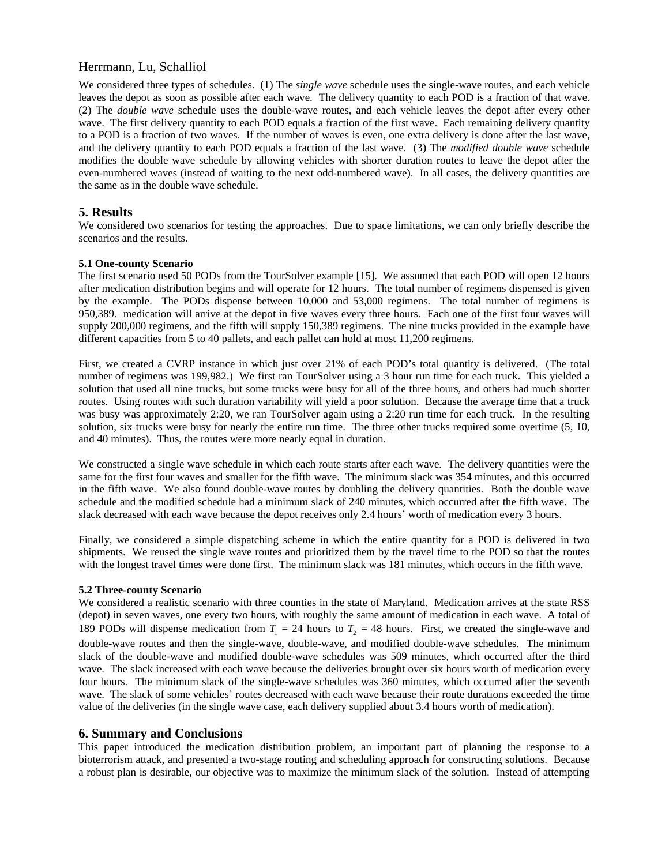We considered three types of schedules. (1) The *single wave* schedule uses the single-wave routes, and each vehicle leaves the depot as soon as possible after each wave. The delivery quantity to each POD is a fraction of that wave. (2) The *double wave* schedule uses the double-wave routes, and each vehicle leaves the depot after every other wave. The first delivery quantity to each POD equals a fraction of the first wave. Each remaining delivery quantity to a POD is a fraction of two waves. If the number of waves is even, one extra delivery is done after the last wave, and the delivery quantity to each POD equals a fraction of the last wave. (3) The *modified double wave* schedule modifies the double wave schedule by allowing vehicles with shorter duration routes to leave the depot after the even-numbered waves (instead of waiting to the next odd-numbered wave). In all cases, the delivery quantities are the same as in the double wave schedule.

## **5. Results**

We considered two scenarios for testing the approaches. Due to space limitations, we can only briefly describe the scenarios and the results.

#### **5.1 One-county Scenario**

The first scenario used 50 PODs from the TourSolver example [15]. We assumed that each POD will open 12 hours after medication distribution begins and will operate for 12 hours. The total number of regimens dispensed is given by the example. The PODs dispense between 10,000 and 53,000 regimens. The total number of regimens is 950,389. medication will arrive at the depot in five waves every three hours. Each one of the first four waves will supply 200,000 regimens, and the fifth will supply 150,389 regimens. The nine trucks provided in the example have different capacities from 5 to 40 pallets, and each pallet can hold at most 11,200 regimens.

First, we created a CVRP instance in which just over 21% of each POD's total quantity is delivered. (The total number of regimens was 199,982.) We first ran TourSolver using a 3 hour run time for each truck. This yielded a solution that used all nine trucks, but some trucks were busy for all of the three hours, and others had much shorter routes. Using routes with such duration variability will yield a poor solution. Because the average time that a truck was busy was approximately 2:20, we ran TourSolver again using a 2:20 run time for each truck. In the resulting solution, six trucks were busy for nearly the entire run time. The three other trucks required some overtime  $(5, 10, 10)$ and 40 minutes). Thus, the routes were more nearly equal in duration.

We constructed a single wave schedule in which each route starts after each wave. The delivery quantities were the same for the first four waves and smaller for the fifth wave. The minimum slack was 354 minutes, and this occurred in the fifth wave. We also found double-wave routes by doubling the delivery quantities. Both the double wave schedule and the modified schedule had a minimum slack of 240 minutes, which occurred after the fifth wave. The slack decreased with each wave because the depot receives only 2.4 hours' worth of medication every 3 hours.

Finally, we considered a simple dispatching scheme in which the entire quantity for a POD is delivered in two shipments. We reused the single wave routes and prioritized them by the travel time to the POD so that the routes with the longest travel times were done first. The minimum slack was 181 minutes, which occurs in the fifth wave.

#### **5.2 Three-county Scenario**

We considered a realistic scenario with three counties in the state of Maryland. Medication arrives at the state RSS (depot) in seven waves, one every two hours, with roughly the same amount of medication in each wave. A total of 189 PODs will dispense medication from  $T_1 = 24$  hours to  $T_2 = 48$  hours. First, we created the single-wave and double-wave routes and then the single-wave, double-wave, and modified double-wave schedules. The minimum slack of the double-wave and modified double-wave schedules was 509 minutes, which occurred after the third wave. The slack increased with each wave because the deliveries brought over six hours worth of medication every four hours. The minimum slack of the single-wave schedules was 360 minutes, which occurred after the seventh wave. The slack of some vehicles' routes decreased with each wave because their route durations exceeded the time value of the deliveries (in the single wave case, each delivery supplied about 3.4 hours worth of medication).

#### **6. Summary and Conclusions**

This paper introduced the medication distribution problem, an important part of planning the response to a bioterrorism attack, and presented a two-stage routing and scheduling approach for constructing solutions. Because a robust plan is desirable, our objective was to maximize the minimum slack of the solution. Instead of attempting